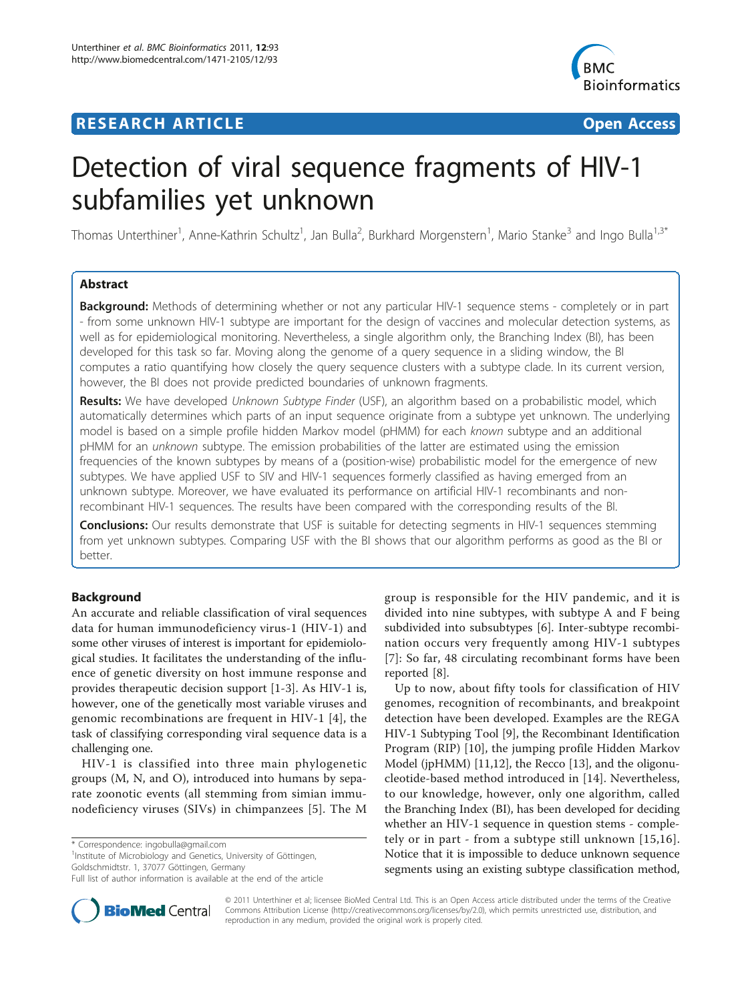# **RESEARCH ARTICLE Example 2018 CONSUMING ACCESS**



# Detection of viral sequence fragments of HIV-1 subfamilies yet unknown

Thomas Unterthiner<sup>1</sup>, Anne-Kathrin Schultz<sup>1</sup>, Jan Bulla<sup>2</sup>, Burkhard Morgenstern<sup>1</sup>, Mario Stanke<sup>3</sup> and Ingo Bulla<sup>1,3\*</sup>

# Abstract

**Background:** Methods of determining whether or not any particular HIV-1 sequence stems - completely or in part - from some unknown HIV-1 subtype are important for the design of vaccines and molecular detection systems, as well as for epidemiological monitoring. Nevertheless, a single algorithm only, the Branching Index (BI), has been developed for this task so far. Moving along the genome of a query sequence in a sliding window, the BI computes a ratio quantifying how closely the query sequence clusters with a subtype clade. In its current version, however, the BI does not provide predicted boundaries of unknown fragments.

Results: We have developed Unknown Subtype Finder (USF), an algorithm based on a probabilistic model, which automatically determines which parts of an input sequence originate from a subtype yet unknown. The underlying model is based on a simple profile hidden Markov model (pHMM) for each known subtype and an additional pHMM for an unknown subtype. The emission probabilities of the latter are estimated using the emission frequencies of the known subtypes by means of a (position-wise) probabilistic model for the emergence of new subtypes. We have applied USF to SIV and HIV-1 sequences formerly classified as having emerged from an unknown subtype. Moreover, we have evaluated its performance on artificial HIV-1 recombinants and nonrecombinant HIV-1 sequences. The results have been compared with the corresponding results of the BI.

**Conclusions:** Our results demonstrate that USF is suitable for detecting segments in HIV-1 sequences stemming from yet unknown subtypes. Comparing USF with the BI shows that our algorithm performs as good as the BI or better.

# Background

An accurate and reliable classification of viral sequences data for human immunodeficiency virus-1 (HIV-1) and some other viruses of interest is important for epidemiological studies. It facilitates the understanding of the influence of genetic diversity on host immune response and provides therapeutic decision support [[1-3\]](#page-11-0). As HIV-1 is, however, one of the genetically most variable viruses and genomic recombinations are frequent in HIV-1 [[4\]](#page-11-0), the task of classifying corresponding viral sequence data is a challenging one.

HIV-1 is classified into three main phylogenetic groups (M, N, and O), introduced into humans by separate zoonotic events (all stemming from simian immunodeficiency viruses (SIVs) in chimpanzees [\[5](#page-11-0)]. The M

<sup>1</sup>Institute of Microbiology and Genetics, University of Göttingen, Goldschmidtstr. 1, 37077 Göttingen, Germany



Up to now, about fifty tools for classification of HIV genomes, recognition of recombinants, and breakpoint detection have been developed. Examples are the REGA HIV-1 Subtyping Tool [\[9\]](#page-11-0), the Recombinant Identification Program (RIP) [\[10](#page-11-0)], the jumping profile Hidden Markov Model (jpHMM) [[11,](#page-11-0)[12](#page-12-0)], the Recco [[13](#page-12-0)], and the oligonucleotide-based method introduced in [[14](#page-12-0)]. Nevertheless, to our knowledge, however, only one algorithm, called the Branching Index (BI), has been developed for deciding whether an HIV-1 sequence in question stems - completely or in part - from a subtype still unknown [[15](#page-12-0),[16\]](#page-12-0). Notice that it is impossible to deduce unknown sequence segments using an existing subtype classification method,



© 2011 Unterthiner et al; licensee BioMed Central Ltd. This is an Open Access article distributed under the terms of the Creative Commons Attribution License [\(http://creativecommons.org/licenses/by/2.0](http://creativecommons.org/licenses/by/2.0)), which permits unrestricted use, distribution, and reproduction in any medium, provided the original work is properly cited.

<sup>\*</sup> Correspondence: [ingobulla@gmail.com](mailto:ingobulla@gmail.com)

Full list of author information is available at the end of the article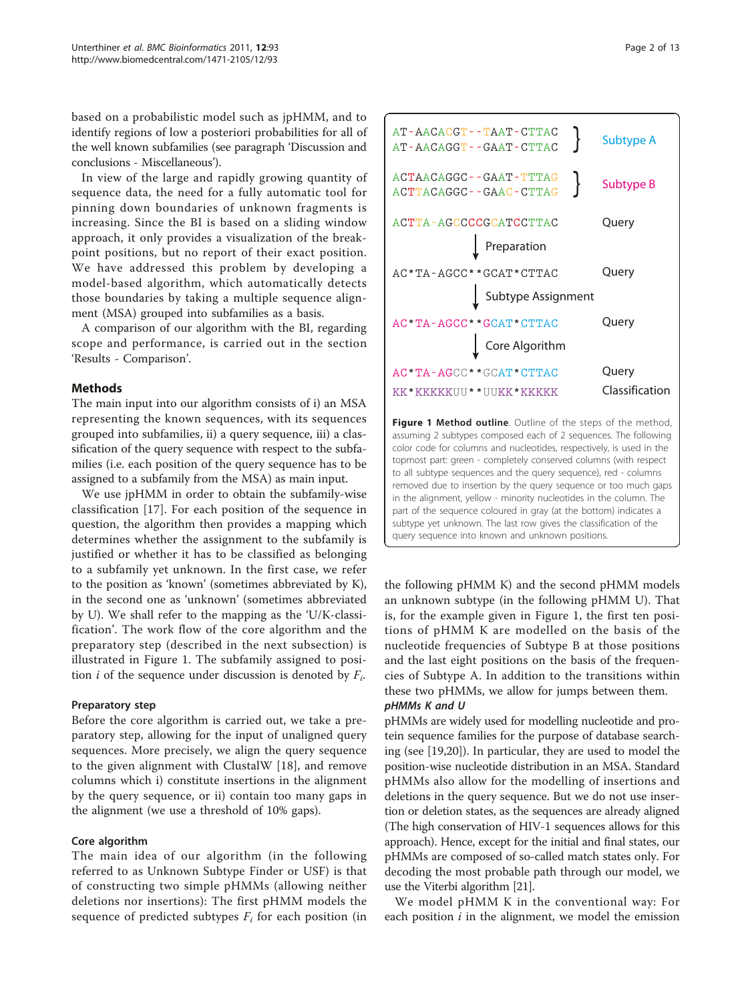based on a probabilistic model such as jpHMM, and to identify regions of low a posteriori probabilities for all of the well known subfamilies (see paragraph 'Discussion and conclusions - Miscellaneous').

In view of the large and rapidly growing quantity of sequence data, the need for a fully automatic tool for pinning down boundaries of unknown fragments is increasing. Since the BI is based on a sliding window approach, it only provides a visualization of the breakpoint positions, but no report of their exact position. We have addressed this problem by developing a model-based algorithm, which automatically detects those boundaries by taking a multiple sequence alignment (MSA) grouped into subfamilies as a basis.

A comparison of our algorithm with the BI, regarding scope and performance, is carried out in the section 'Results - Comparison'.

# **Methods**

The main input into our algorithm consists of i) an MSA representing the known sequences, with its sequences grouped into subfamilies, ii) a query sequence, iii) a classification of the query sequence with respect to the subfamilies (i.e. each position of the query sequence has to be assigned to a subfamily from the MSA) as main input.

We use jpHMM in order to obtain the subfamily-wise classification [[17\]](#page-12-0). For each position of the sequence in question, the algorithm then provides a mapping which determines whether the assignment to the subfamily is justified or whether it has to be classified as belonging to a subfamily yet unknown. In the first case, we refer to the position as 'known' (sometimes abbreviated by K), in the second one as 'unknown' (sometimes abbreviated by U). We shall refer to the mapping as the 'U/K-classification'. The work flow of the core algorithm and the preparatory step (described in the next subsection) is illustrated in Figure 1. The subfamily assigned to position *i* of the sequence under discussion is denoted by  $F_i$ .

# Preparatory step

Before the core algorithm is carried out, we take a preparatory step, allowing for the input of unaligned query sequences. More precisely, we align the query sequence to the given alignment with ClustalW [\[18](#page-12-0)], and remove columns which i) constitute insertions in the alignment by the query sequence, or ii) contain too many gaps in the alignment (we use a threshold of 10% gaps).

# Core algorithm

The main idea of our algorithm (in the following referred to as Unknown Subtype Finder or USF) is that of constructing two simple pHMMs (allowing neither deletions nor insertions): The first pHMM models the sequence of predicted subtypes  $F_i$  for each position (in



to all subtype sequences and the query sequence), red - columns removed due to insertion by the query sequence or too much gaps in the alignment, yellow - minority nucleotides in the column. The part of the sequence coloured in gray (at the bottom) indicates a subtype yet unknown. The last row gives the classification of the query sequence into known and unknown positions.

the following pHMM K) and the second pHMM models an unknown subtype (in the following pHMM U). That is, for the example given in Figure 1, the first ten positions of pHMM K are modelled on the basis of the nucleotide frequencies of Subtype B at those positions and the last eight positions on the basis of the frequencies of Subtype A. In addition to the transitions within these two pHMMs, we allow for jumps between them. pHMMs K and U

pHMMs are widely used for modelling nucleotide and protein sequence families for the purpose of database searching (see [[19](#page-12-0),[20](#page-12-0)]). In particular, they are used to model the position-wise nucleotide distribution in an MSA. Standard pHMMs also allow for the modelling of insertions and deletions in the query sequence. But we do not use insertion or deletion states, as the sequences are already aligned (The high conservation of HIV-1 sequences allows for this approach). Hence, except for the initial and final states, our pHMMs are composed of so-called match states only. For decoding the most probable path through our model, we use the Viterbi algorithm [\[21\]](#page-12-0).

We model pHMM K in the conventional way: For each position  $i$  in the alignment, we model the emission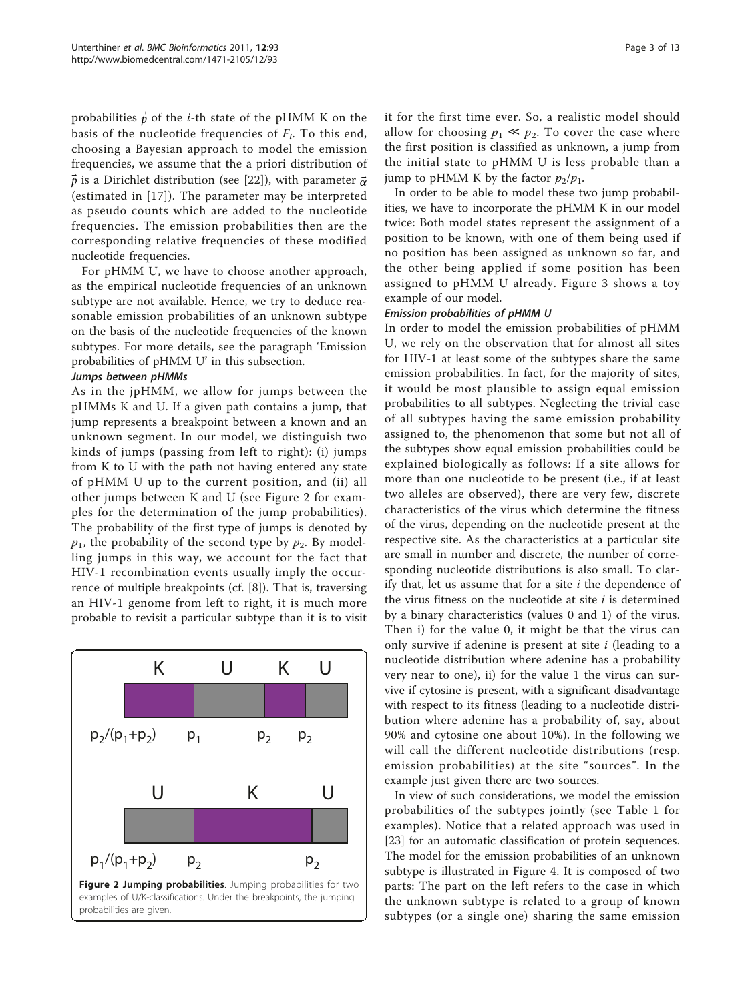probabilities  $\vec{p}$  of the *i*-th state of the pHMM K on the basis of the nucleotide frequencies of  $F_i$ . To this end, choosing a Bayesian approach to model the emission frequencies, we assume that the a priori distribution of  $\vec{p}$  is a Dirichlet distribution (see [\[22](#page-12-0)]), with parameter  $\vec{\alpha}$ (estimated in [[17\]](#page-12-0)). The parameter may be interpreted as pseudo counts which are added to the nucleotide frequencies. The emission probabilities then are the corresponding relative frequencies of these modified nucleotide frequencies.

For pHMM U, we have to choose another approach, as the empirical nucleotide frequencies of an unknown subtype are not available. Hence, we try to deduce reasonable emission probabilities of an unknown subtype on the basis of the nucleotide frequencies of the known subtypes. For more details, see the paragraph 'Emission probabilities of pHMM U' in this subsection.

#### Jumps between pHMMs

As in the jpHMM, we allow for jumps between the pHMMs K and U. If a given path contains a jump, that jump represents a breakpoint between a known and an unknown segment. In our model, we distinguish two kinds of jumps (passing from left to right): (i) jumps from K to U with the path not having entered any state of pHMM U up to the current position, and (ii) all other jumps between K and U (see Figure 2 for examples for the determination of the jump probabilities). The probability of the first type of jumps is denoted by  $p_1$ , the probability of the second type by  $p_2$ . By modelling jumps in this way, we account for the fact that HIV-1 recombination events usually imply the occurrence of multiple breakpoints (cf. [[8\]](#page-11-0)). That is, traversing an HIV-1 genome from left to right, it is much more probable to revisit a particular subtype than it is to visit



examples of U/K-classifications. Under the breakpoints, the jumping probabilities are given.

it for the first time ever. So, a realistic model should allow for choosing  $p_1 \ll p_2$ . To cover the case where the first position is classified as unknown, a jump from the initial state to pHMM U is less probable than a jump to pHMM K by the factor  $p_2/p_1$ .

In order to be able to model these two jump probabilities, we have to incorporate the pHMM K in our model twice: Both model states represent the assignment of a position to be known, with one of them being used if no position has been assigned as unknown so far, and the other being applied if some position has been assigned to pHMM U already. Figure [3](#page-3-0) shows a toy example of our model.

#### Emission probabilities of pHMM U

In order to model the emission probabilities of pHMM U, we rely on the observation that for almost all sites for HIV-1 at least some of the subtypes share the same emission probabilities. In fact, for the majority of sites, it would be most plausible to assign equal emission probabilities to all subtypes. Neglecting the trivial case of all subtypes having the same emission probability assigned to, the phenomenon that some but not all of the subtypes show equal emission probabilities could be explained biologically as follows: If a site allows for more than one nucleotide to be present (i.e., if at least two alleles are observed), there are very few, discrete characteristics of the virus which determine the fitness of the virus, depending on the nucleotide present at the respective site. As the characteristics at a particular site are small in number and discrete, the number of corresponding nucleotide distributions is also small. To clarify that, let us assume that for a site  $i$  the dependence of the virus fitness on the nucleotide at site  $i$  is determined by a binary characteristics (values 0 and 1) of the virus. Then i) for the value 0, it might be that the virus can only survive if adenine is present at site  $i$  (leading to a nucleotide distribution where adenine has a probability very near to one), ii) for the value 1 the virus can survive if cytosine is present, with a significant disadvantage with respect to its fitness (leading to a nucleotide distribution where adenine has a probability of, say, about 90% and cytosine one about 10%). In the following we will call the different nucleotide distributions (resp. emission probabilities) at the site "sources". In the example just given there are two sources.

In view of such considerations, we model the emission probabilities of the subtypes jointly (see Table [1](#page-3-0) for examples). Notice that a related approach was used in [[23\]](#page-12-0) for an automatic classification of protein sequences. The model for the emission probabilities of an unknown subtype is illustrated in Figure [4.](#page-4-0) It is composed of two parts: The part on the left refers to the case in which the unknown subtype is related to a group of known subtypes (or a single one) sharing the same emission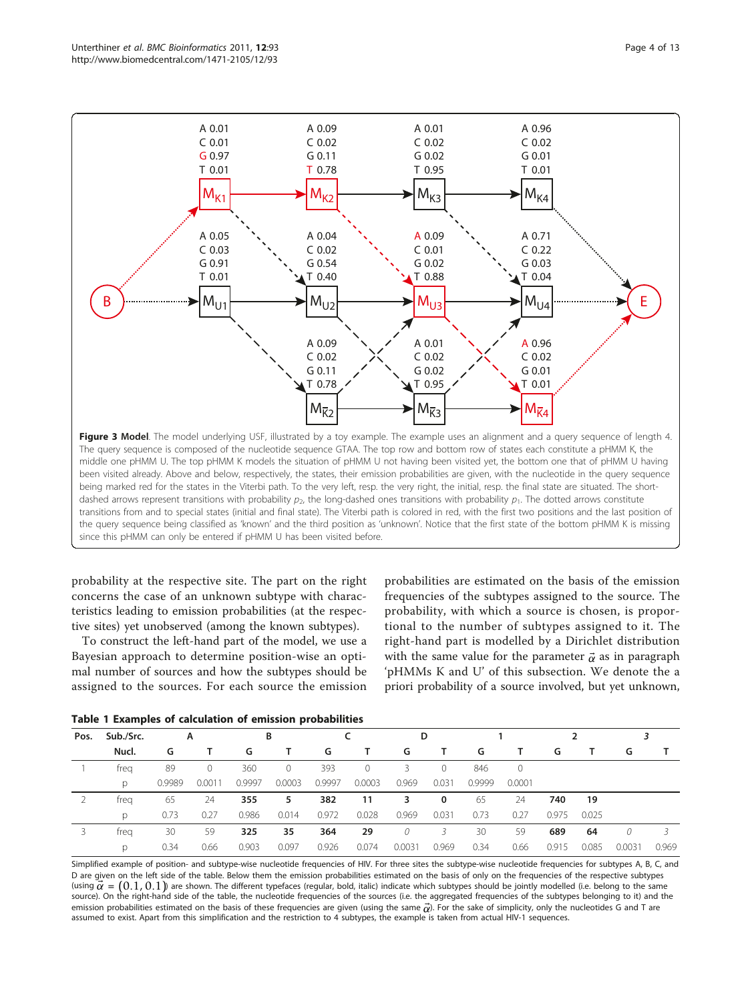<span id="page-3-0"></span>

since this pHMM can only be entered if pHMM U has been visited before.

probability at the respective site. The part on the right concerns the case of an unknown subtype with characteristics leading to emission probabilities (at the respective sites) yet unobserved (among the known subtypes).

To construct the left-hand part of the model, we use a Bayesian approach to determine position-wise an optimal number of sources and how the subtypes should be assigned to the sources. For each source the emission probabilities are estimated on the basis of the emission frequencies of the subtypes assigned to the source. The probability, with which a source is chosen, is proportional to the number of subtypes assigned to it. The right-hand part is modelled by a Dirichlet distribution with the same value for the parameter  $\vec{\alpha}$  as in paragraph 'pHMMs K and U' of this subsection. We denote the a priori probability of a source involved, but yet unknown,

Table 1 Examples of calculation of emission probabilities

| Pos. | Sub./Src. | A      |        | в      |        |        |        | D      |       |        |          |       |       |        |       |
|------|-----------|--------|--------|--------|--------|--------|--------|--------|-------|--------|----------|-------|-------|--------|-------|
|      | Nucl.     | G      |        | G      |        | G      | Т      | G      | Τ     | G      | Τ        | G     |       | G      |       |
|      | trea      | 89     | 0      | 360    | 0      | 393    | 0      | 3      | 0     | 846    | $\Omega$ |       |       |        |       |
|      | D         | 0.9989 | 0.0011 | 0.9997 | 0.0003 | 0.9997 | 0.0003 | 0.969  | 0.031 | 0.9999 | 0.0001   |       |       |        |       |
|      | trea      | 65     | 24     | 355    | 5      | 382    | 11     | 3      | 0     | 65     | 24       | 740   | 19    |        |       |
|      | D         | 0.73   | 0.27   | 0.986  | 0.014  | 0.972  | 0.028  | 0.969  | 0.031 | 0.73   | 0.27     | 0.975 | 0.025 |        |       |
|      | trea      | 30     | 59     | 325    | 35     | 364    | 29     | 0      | 3     | 30     | 59       | 689   | 64    |        |       |
|      | p         | 0.34   | 0.66   | 0.903  | 0.097  | 0.926  | 0.074  | 0.0031 | 0.969 | 0.34   | 0.66     | 0.915 | 0.085 | 0.0031 | 0.969 |

Simplified example of position- and subtype-wise nucleotide frequencies of HIV. For three sites the subtype-wise nucleotide frequencies for subtypes A, B, C, and D are given on the left side of the table. Below them the emission probabilities estimated on the basis of only on the frequencies of the respective subtypes (using  $\vec{\alpha} = (0.1, 0.1)$ ) are shown. The different typefaces (regular, bold, italic) indicate which subtypes should be jointly modelled (i.e. belong to the same<br>source). On the right hand side of the table, the pucketide source). On the right-hand side of the table, the nucleotide frequencies of the sources (i.e. the aggregated frequencies of the subtypes belonging to it) and the emission probabilities estimated on the basis of these frequencies are given (using the same  $\vec{\alpha}$ ). For the sake of simplicity, only the nucleotides G and T are<br>assumed to evist. Apart from this simplification and the assumed to exist. Apart from this simplification and the restriction to 4 subtypes, the example is taken from actual HIV-1 sequences.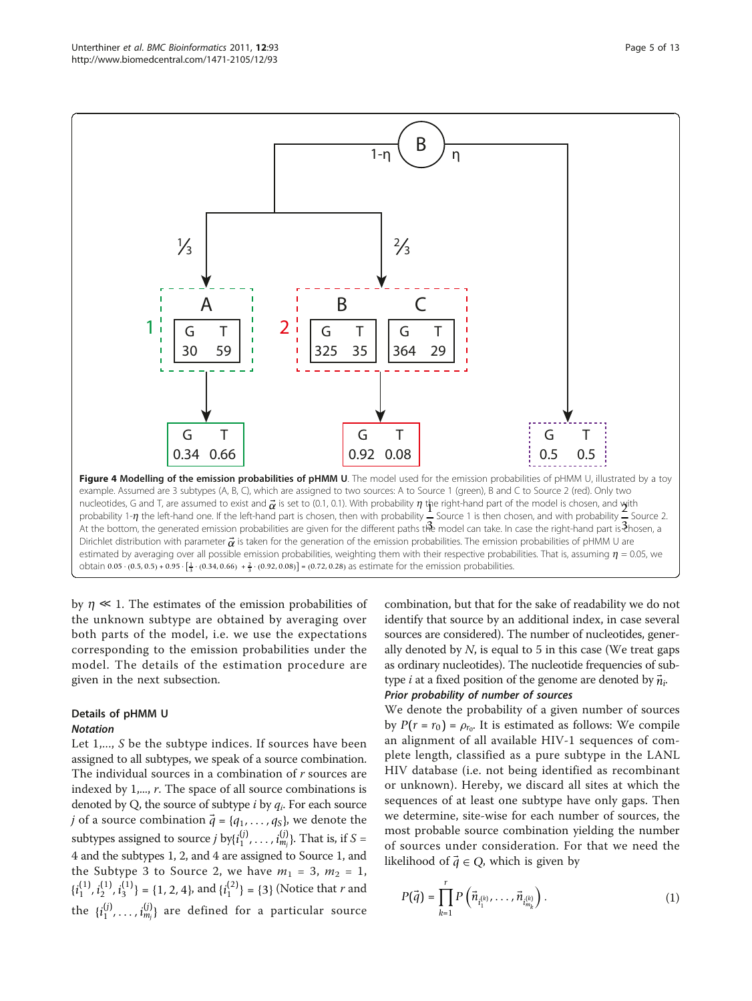<span id="page-4-0"></span>

by  $\eta \ll 1$ . The estimates of the emission probabilities of the unknown subtype are obtained by averaging over both parts of the model, i.e. we use the expectations corresponding to the emission probabilities under the model. The details of the estimation procedure are given in the next subsection.

# Details of pHMM U

#### Notation

Let 1,..., S be the subtype indices. If sources have been assigned to all subtypes, we speak of a source combination. The individual sources in a combination of  $r$  sources are indexed by  $1, \ldots, r$ . The space of all source combinations is denoted by Q, the source of subtype i by  $q_i$ . For each source *j* of a source combination  $\vec{q} = \{q_1, \ldots, q_S\}$ , we denote the subtypes assigned to source  $j$  by $\{i_1^{(j)}, \ldots, i_{m_j}^{(j)}\}$ . That is, if  $S =$ 4 and the subtypes 1, 2, and 4 are assigned to Source 1, and the Subtype 3 to Source 2, we have  $m_1 = 3$ ,  $m_2 = 1$ ,  $\{i_1^{(1)}, i_2^{(1)}, i_3^{(1)}\} = \{1, 2, 4\}$ , and  $\{i_1^{(2)}\} = \{3\}$  (Notice that *r* and the  $\{i_1^{(j)}, \ldots, i_{m_j}^{(j)}\}$  are defined for a particular source

combination, but that for the sake of readability we do not identify that source by an additional index, in case several sources are considered). The number of nucleotides, generally denoted by  $N$ , is equal to 5 in this case (We treat gaps as ordinary nucleotides). The nucleotide frequencies of subtype *i* at a fixed position of the genome are denoted by  $\vec{n}_i$ .

# Prior probability of number of sources

We denote the probability of a given number of sources by  $P(r = r_0) = \rho_{r_0}$ . It is estimated as follows: We compile an alignment of all available HIV-1 sequences of complete length, classified as a pure subtype in the LANL HIV database (i.e. not being identified as recombinant or unknown). Hereby, we discard all sites at which the sequences of at least one subtype have only gaps. Then we determine, site-wise for each number of sources, the most probable source combination yielding the number of sources under consideration. For that we need the likelihood of  $\vec{q} \in Q$ , which is given by

$$
P(\vec{q}) = \prod_{k=1}^{r} P\left(\vec{n}_{i_1^{(k)}}, \ldots, \vec{n}_{i_{m_k}^{(k)}}\right).
$$
 (1)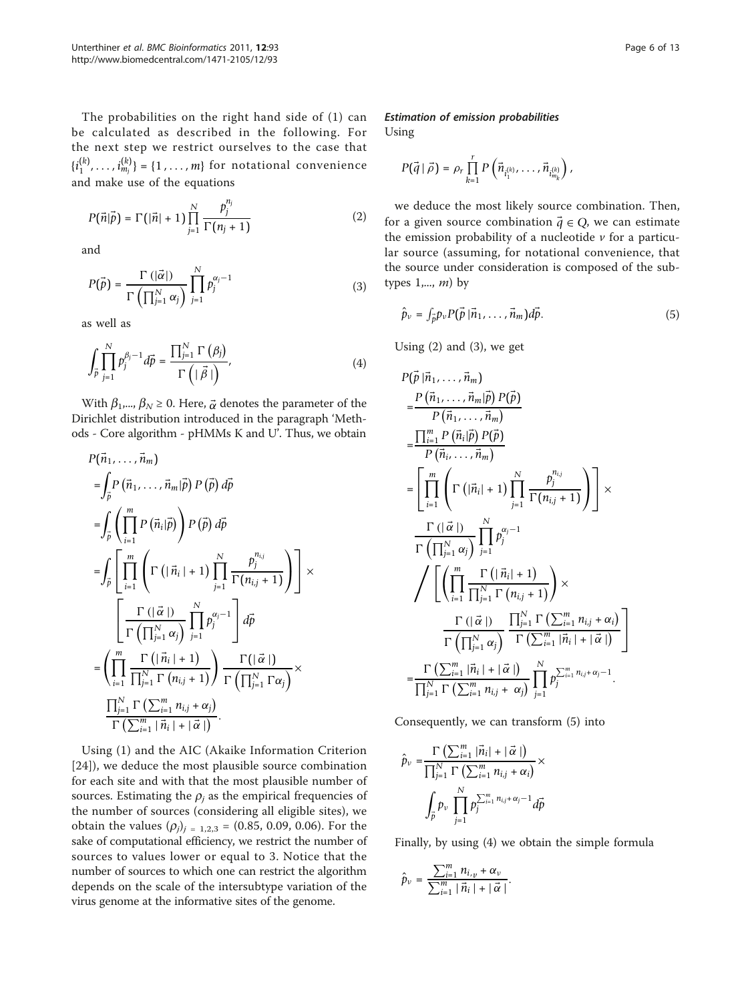The probabilities on the right hand side of (1) can be calculated as described in the following. For the next step we restrict ourselves to the case that  $\{i_1^{(k)}, \ldots, i_{m_j}^{(k)}\} = \{1, \ldots, m\}$  for notational convenience and make use of the equations

$$
P(\vec{n}|\vec{p}) = \Gamma(|\vec{n}| + 1) \prod_{j=1}^{N} \frac{p_j^{n_j}}{\Gamma(n_j + 1)}
$$
(2)

and

$$
P(\vec{p}) = \frac{\Gamma(|\vec{\alpha}|)}{\Gamma(\prod_{j=1}^{N} \alpha_j)} \prod_{j=1}^{N} p_j^{\alpha_j - 1}
$$
 (3)

as well as

$$
\int_{\vec{p}} \prod_{j=1}^{N} p_j^{\beta_j - 1} d\vec{p} = \frac{\prod_{j=1}^{N} \Gamma(\beta_j)}{\Gamma(|\vec{\beta}|)},
$$
\n(4)

With  $\beta_1, ..., \beta_N \ge 0$ . Here,  $\vec{\alpha}$  denotes the parameter of the Dirichlet distribution introduced in the paragraph 'Methods - Core algorithm - pHMMs K and U'. Thus, we obtain

$$
P(\vec{n}_1, ..., \vec{n}_m)
$$
\n
$$
= \int_{\vec{p}} P(\vec{n}_1, ..., \vec{n}_m | \vec{p}) P(\vec{p}) d\vec{p}
$$
\n
$$
= \int_{\vec{p}} \left( \prod_{i=1}^m P(\vec{n}_i | \vec{p}) \right) P(\vec{p}) d\vec{p}
$$
\n
$$
= \int_{\vec{p}} \left[ \prod_{i=1}^m \left( \Gamma(|\vec{n}_i| + 1) \prod_{j=1}^N \frac{p_j^{n_{ij}}}{\Gamma(n_{ij} + 1)} \right) \right] \times
$$
\n
$$
\left[ \frac{\Gamma(|\vec{\alpha}|)}{\Gamma(\prod_{j=1}^N \alpha_j)} \prod_{j=1}^N p_j^{\alpha_j - 1} \right] d\vec{p}
$$
\n
$$
= \left( \prod_{i=1}^m \frac{\Gamma(|\vec{n}_i| + 1)}{\prod_{j=1}^N \Gamma(n_{ij} + 1)} \right) \frac{\Gamma(|\vec{\alpha}|)}{\Gamma(\prod_{j=1}^N \Gamma \alpha_j)} \times
$$
\n
$$
\frac{\prod_{j=1}^N \Gamma(\sum_{i=1}^m n_{ij} + \alpha_j)}{\Gamma(\sum_{i=1}^m |\vec{n}_i| + |\vec{\alpha}|)}.
$$

Using (1) and the AIC (Akaike Information Criterion [[24\]](#page-12-0)), we deduce the most plausible source combination for each site and with that the most plausible number of sources. Estimating the  $\rho_i$  as the empirical frequencies of the number of sources (considering all eligible sites), we obtain the values  $(\rho_i)_{i=1,2,3} = (0.85, 0.09, 0.06)$ . For the sake of computational efficiency, we restrict the number of sources to values lower or equal to 3. Notice that the number of sources to which one can restrict the algorithm depends on the scale of the intersubtype variation of the virus genome at the informative sites of the genome.

Estimation of emission probabilities Using

$$
P(\vec{q} \mid \vec{\rho}) = \rho_r \prod_{k=1}^r P\left(\vec{n}_{i_1^{(k)}}, \ldots, \vec{n}_{i_{m_k}^{(k)}}\right),
$$

we deduce the most likely source combination. Then, for a given source combination  $\vec{q} \in Q$ , we can estimate the emission probability of a nucleotide  $\nu$  for a particular source (assuming, for notational convenience, that the source under consideration is composed of the subtypes  $1, \ldots, m$ ) by

$$
\hat{p}_{\nu} = \int_{\vec{p}} p_{\nu} P(\vec{p} | \vec{n}_1, \dots, \vec{n}_m) d\vec{p}.
$$
\n(5)

Using (2) and (3), we get

$$
P(\vec{p} | \vec{n}_1, \dots, \vec{n}_m)
$$
\n
$$
= \frac{P(\vec{n}_1, \dots, \vec{n}_m | \vec{p}) P(\vec{p})}{P(\vec{n}_1, \dots, \vec{n}_m)}
$$
\n
$$
= \frac{\prod_{i=1}^m P(\vec{n}_i | \vec{p}) P(\vec{p})}{P(\vec{n}_i, \dots, \vec{n}_m)}
$$
\n
$$
= \left[ \prod_{i=1}^m \left( \Gamma(|\vec{n}_i| + 1) \prod_{j=1}^N \frac{p_j^{n_{i,j}}}{\Gamma(n_{i,j} + 1)} \right) \right] \times
$$
\n
$$
\frac{\Gamma(|\vec{\alpha}|)}{\Gamma(\prod_{j=1}^N \alpha_j)} \prod_{j=1}^N p_j^{\alpha_j - 1}
$$
\n
$$
\int \left[ \left( \prod_{i=1}^m \frac{\Gamma(|\vec{n}_i| + 1)}{\prod_{j=1}^N \Gamma(n_{i,j} + 1)} \right) \times \frac{\Gamma(|\vec{\alpha}|)}{\Gamma(\prod_{j=1}^N \alpha_j)} \frac{\prod_{j=1}^N \Gamma(\sum_{i=1}^m n_{i,j} + \alpha_i)}{\Gamma(\prod_{j=1}^N \alpha_j)} \right]
$$
\n
$$
= \frac{\Gamma(\sum_{i=1}^m |\vec{n}_i| + |\vec{\alpha}|)}{\prod_{j=1}^N \Gamma(\sum_{i=1}^m n_{i,j} + \alpha_j)} \prod_{j=1}^N p_j^{\sum_{i=1}^m n_{i,j} + \alpha_j - 1}.
$$

Consequently, we can transform (5) into

$$
\hat{p}_{\nu} = \frac{\Gamma\left(\sum_{i=1}^{m} |\vec{n}_i| + |\vec{\alpha}| \right)}{\prod_{j=1}^{N} \Gamma\left(\sum_{i=1}^{m} n_{i,j} + \alpha_i\right)} \times \int_{\tilde{p}} p_{\nu} \prod_{j=1}^{N} p_{j}^{\sum_{i=1}^{m} n_{i,j} + \alpha_{j} - 1} d\vec{p}
$$

Finally, by using (4) we obtain the simple formula

$$
\hat{p}_{\nu} = \frac{\sum_{i=1}^{m} n_{i,\nu} + \alpha_{\nu}}{\sum_{i=1}^{m} |\vec{n}_i| + |\vec{\alpha}|}.
$$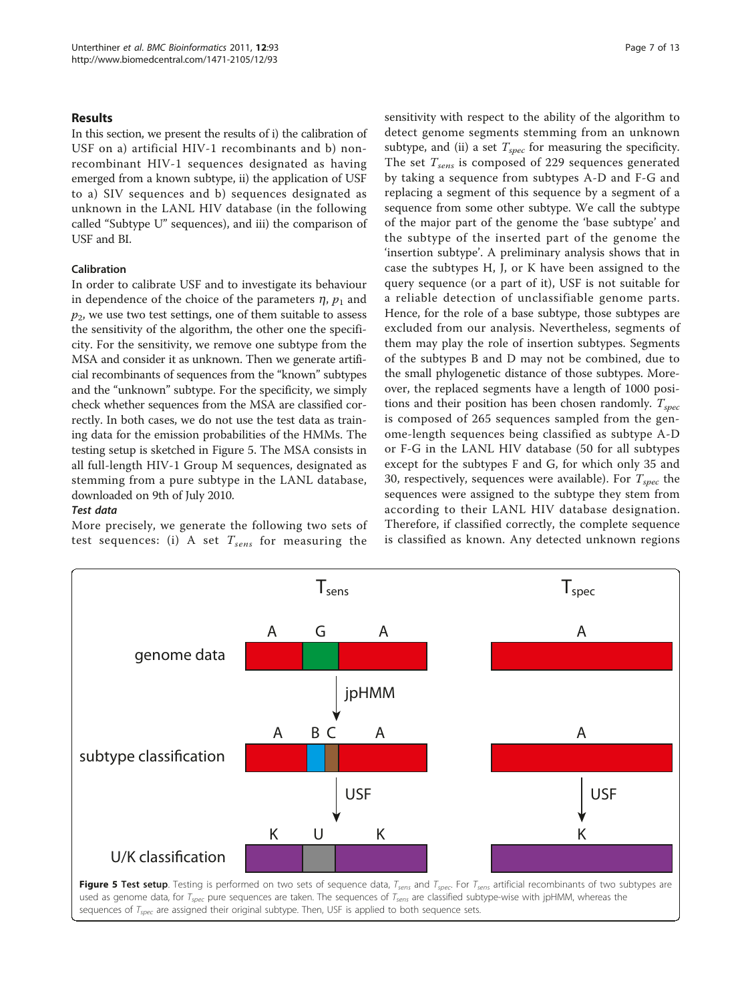# Results

In this section, we present the results of i) the calibration of USF on a) artificial HIV-1 recombinants and b) nonrecombinant HIV-1 sequences designated as having emerged from a known subtype, ii) the application of USF to a) SIV sequences and b) sequences designated as unknown in the LANL HIV database (in the following called "Subtype U" sequences), and iii) the comparison of USF and BI.

#### Calibration

In order to calibrate USF and to investigate its behaviour in dependence of the choice of the parameters  $\eta$ ,  $p_1$  and  $p_2$ , we use two test settings, one of them suitable to assess the sensitivity of the algorithm, the other one the specificity. For the sensitivity, we remove one subtype from the MSA and consider it as unknown. Then we generate artificial recombinants of sequences from the "known" subtypes and the "unknown" subtype. For the specificity, we simply check whether sequences from the MSA are classified correctly. In both cases, we do not use the test data as training data for the emission probabilities of the HMMs. The testing setup is sketched in Figure 5. The MSA consists in all full-length HIV-1 Group M sequences, designated as stemming from a pure subtype in the LANL database, downloaded on 9th of July 2010.

# Test data

More precisely, we generate the following two sets of test sequences: (i) A set  $T_{sens}$  for measuring the

sensitivity with respect to the ability of the algorithm to detect genome segments stemming from an unknown subtype, and (ii) a set  $T_{spec}$  for measuring the specificity. The set  $T_{sens}$  is composed of 229 sequences generated by taking a sequence from subtypes A-D and F-G and replacing a segment of this sequence by a segment of a sequence from some other subtype. We call the subtype of the major part of the genome the 'base subtype' and the subtype of the inserted part of the genome the 'insertion subtype'. A preliminary analysis shows that in case the subtypes H, J, or K have been assigned to the query sequence (or a part of it), USF is not suitable for a reliable detection of unclassifiable genome parts. Hence, for the role of a base subtype, those subtypes are excluded from our analysis. Nevertheless, segments of them may play the role of insertion subtypes. Segments of the subtypes B and D may not be combined, due to the small phylogenetic distance of those subtypes. Moreover, the replaced segments have a length of 1000 positions and their position has been chosen randomly.  $T_{spec}$ is composed of 265 sequences sampled from the genome-length sequences being classified as subtype A-D or F-G in the LANL HIV database (50 for all subtypes except for the subtypes F and G, for which only 35 and 30, respectively, sequences were available). For  $T_{\text{spec}}$  the sequences were assigned to the subtype they stem from according to their LANL HIV database designation. Therefore, if classified correctly, the complete sequence is classified as known. Any detected unknown regions

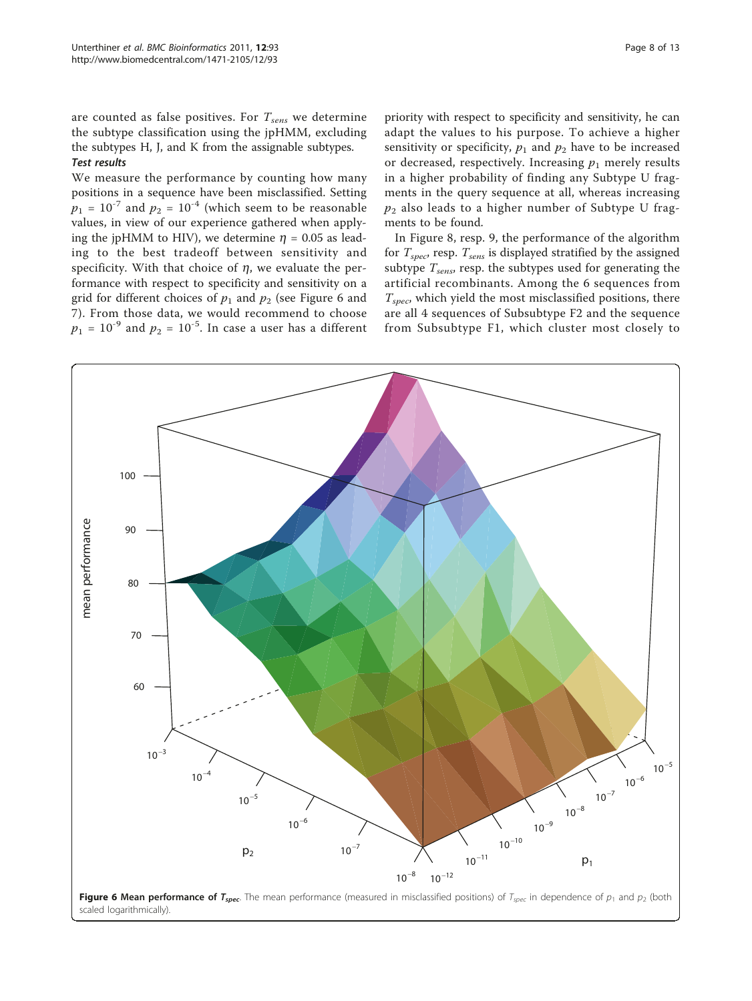are counted as false positives. For  $T_{sens}$  we determine the subtype classification using the jpHMM, excluding the subtypes H, J, and K from the assignable subtypes. Test results

We measure the performance by counting how many positions in a sequence have been misclassified. Setting  $p_1 = 10^{-7}$  and  $p_2 = 10^{-4}$  (which seem to be reasonable values, in view of our experience gathered when applying the jpHMM to HIV), we determine  $\eta = 0.05$  as leading to the best tradeoff between sensitivity and specificity. With that choice of  $\eta$ , we evaluate the performance with respect to specificity and sensitivity on a grid for different choices of  $p_1$  and  $p_2$  (see Figure 6 and [7\)](#page-8-0). From those data, we would recommend to choose  $p_1 = 10^{-9}$  and  $p_2 = 10^{-5}$ . In case a user has a different

priority with respect to specificity and sensitivity, he can adapt the values to his purpose. To achieve a higher sensitivity or specificity,  $p_1$  and  $p_2$  have to be increased or decreased, respectively. Increasing  $p_1$  merely results in a higher probability of finding any Subtype U fragments in the query sequence at all, whereas increasing  $p_2$  also leads to a higher number of Subtype U fragments to be found.

In Figure [8](#page-9-0), resp. [9](#page-9-0), the performance of the algorithm for  $T_{spec}$ , resp.  $T_{sens}$  is displayed stratified by the assigned subtype  $T_{sens}$ , resp. the subtypes used for generating the artificial recombinants. Among the 6 sequences from  $T_{\text{spec}}$ , which yield the most misclassified positions, there are all 4 sequences of Subsubtype F2 and the sequence from Subsubtype F1, which cluster most closely to

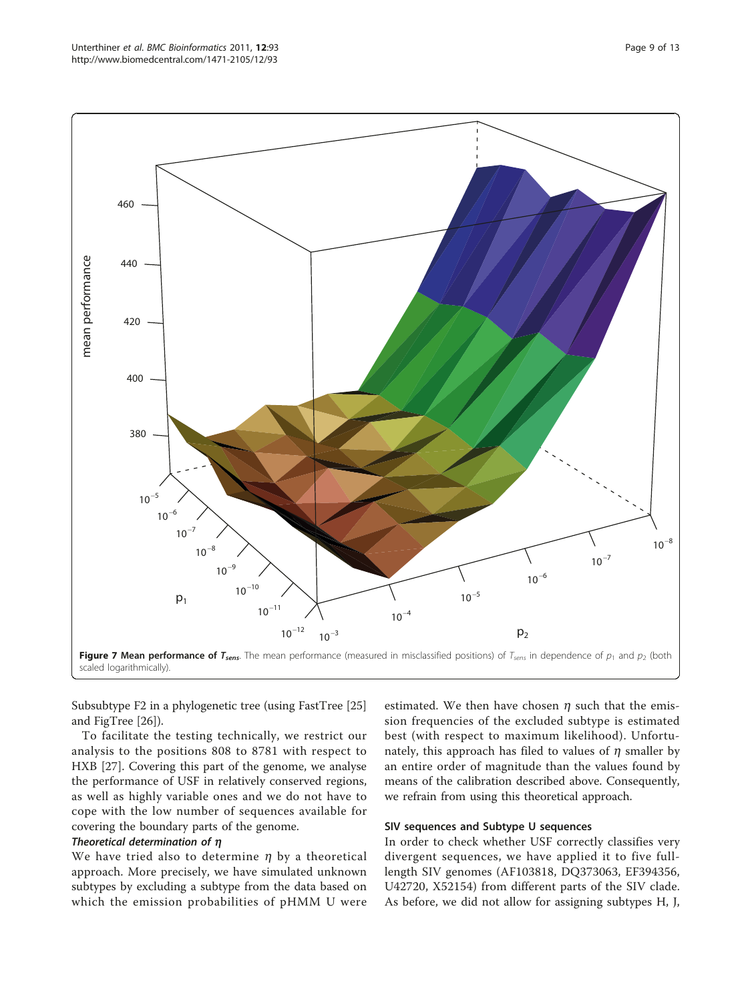<span id="page-8-0"></span>

Subsubtype F2 in a phylogenetic tree (using FastTree [[25](#page-12-0)] and FigTree [\[26](#page-12-0)]).

To facilitate the testing technically, we restrict our analysis to the positions 808 to 8781 with respect to HXB [\[27](#page-12-0)]. Covering this part of the genome, we analyse the performance of USF in relatively conserved regions, as well as highly variable ones and we do not have to cope with the low number of sequences available for covering the boundary parts of the genome.

# Theoretical determination of  $\eta$

We have tried also to determine  $\eta$  by a theoretical approach. More precisely, we have simulated unknown subtypes by excluding a subtype from the data based on which the emission probabilities of pHMM U were

estimated. We then have chosen  $\eta$  such that the emission frequencies of the excluded subtype is estimated best (with respect to maximum likelihood). Unfortunately, this approach has filed to values of  $\eta$  smaller by an entire order of magnitude than the values found by means of the calibration described above. Consequently, we refrain from using this theoretical approach.

# SIV sequences and Subtype U sequences

In order to check whether USF correctly classifies very divergent sequences, we have applied it to five fulllength SIV genomes (AF103818, DQ373063, EF394356, U42720, X52154) from different parts of the SIV clade. As before, we did not allow for assigning subtypes H, J,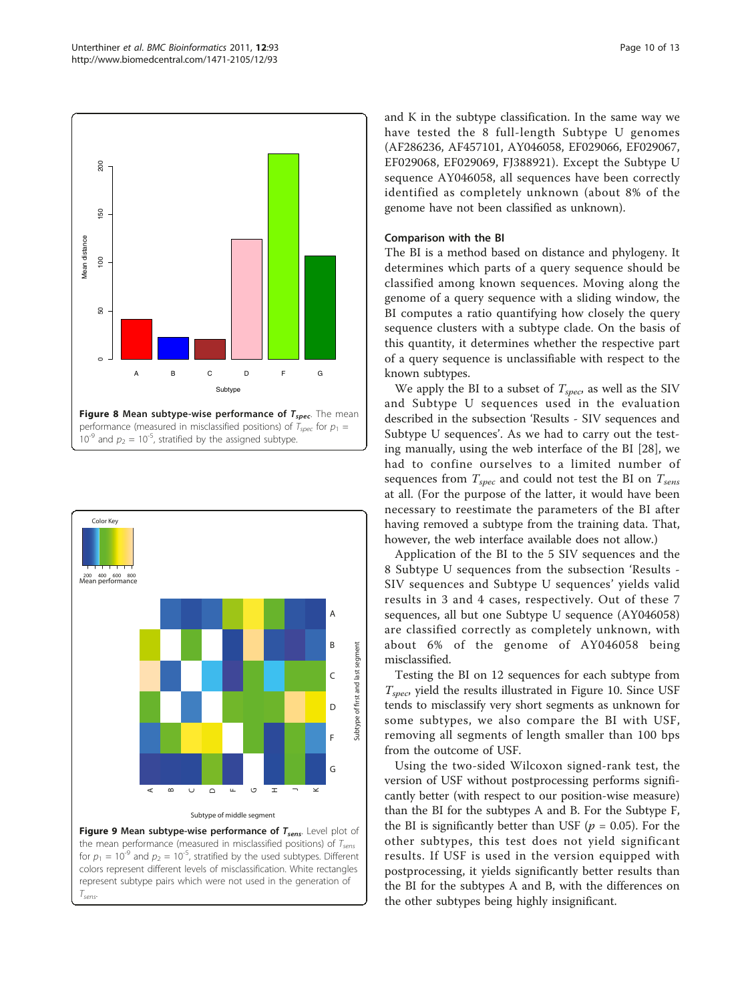<span id="page-9-0"></span>



the mean performance (measured in misclassified positions) of  $T_{sens}$ for  $p_1 = 10^{-9}$  and  $p_2 = 10^{-5}$ , stratified by the used subtypes. Different colors represent different levels of misclassification. White rectangles represent subtype pairs which were not used in the generation of  $T_{cone}$ 

and K in the subtype classification. In the same way we have tested the 8 full-length Subtype U genomes (AF286236, AF457101, AY046058, EF029066, EF029067, EF029068, EF029069, FJ388921). Except the Subtype U sequence AY046058, all sequences have been correctly identified as completely unknown (about 8% of the genome have not been classified as unknown).

# Comparison with the BI

The BI is a method based on distance and phylogeny. It determines which parts of a query sequence should be classified among known sequences. Moving along the genome of a query sequence with a sliding window, the BI computes a ratio quantifying how closely the query sequence clusters with a subtype clade. On the basis of this quantity, it determines whether the respective part of a query sequence is unclassifiable with respect to the known subtypes.

We apply the BI to a subset of  $T_{spec}$ , as well as the SIV and Subtype U sequences used in the evaluation described in the subsection 'Results - SIV sequences and Subtype U sequences'. As we had to carry out the testing manually, using the web interface of the BI [[28\]](#page-12-0), we had to confine ourselves to a limited number of sequences from  $T_{spec}$  and could not test the BI on  $T_{sens}$ at all. (For the purpose of the latter, it would have been necessary to reestimate the parameters of the BI after having removed a subtype from the training data. That, however, the web interface available does not allow.)

Application of the BI to the 5 SIV sequences and the 8 Subtype U sequences from the subsection 'Results - SIV sequences and Subtype U sequences' yields valid results in 3 and 4 cases, respectively. Out of these 7 sequences, all but one Subtype U sequence (AY046058) are classified correctly as completely unknown, with about 6% of the genome of AY046058 being misclassified.

Testing the BI on 12 sequences for each subtype from  $T_{\text{spec}}$ , yield the results illustrated in Figure [10.](#page-10-0) Since USF tends to misclassify very short segments as unknown for some subtypes, we also compare the BI with USF, removing all segments of length smaller than 100 bps from the outcome of USF.

Using the two-sided Wilcoxon signed-rank test, the version of USF without postprocessing performs significantly better (with respect to our position-wise measure) than the BI for the subtypes A and B. For the Subtype F, the BI is significantly better than USF ( $p = 0.05$ ). For the other subtypes, this test does not yield significant results. If USF is used in the version equipped with postprocessing, it yields significantly better results than the BI for the subtypes A and B, with the differences on the other subtypes being highly insignificant.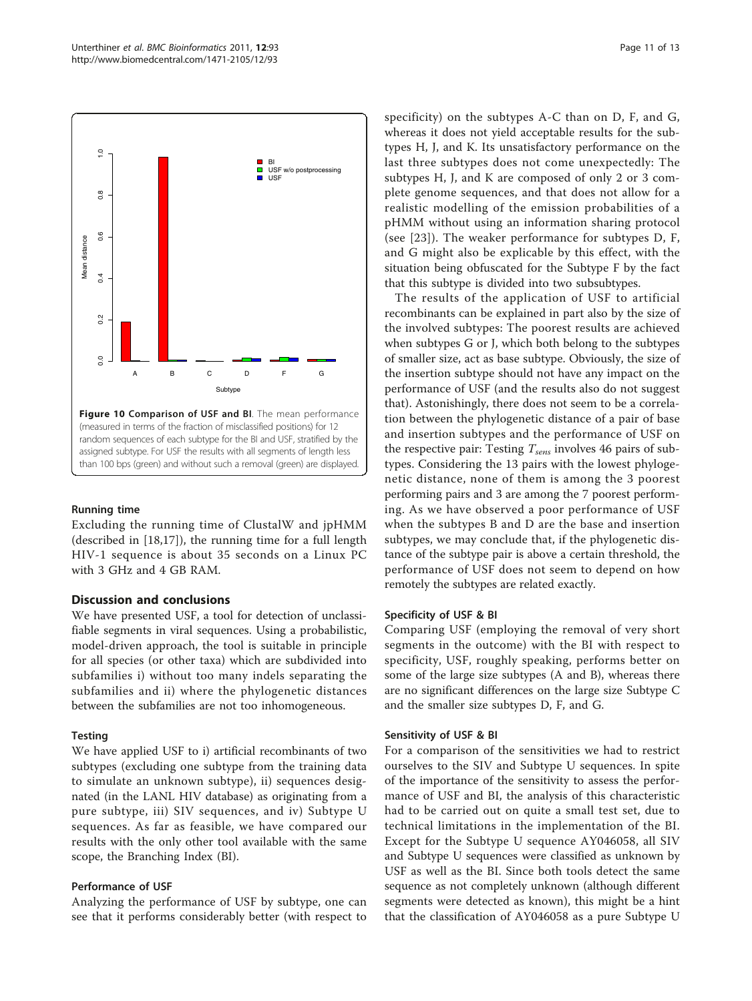<span id="page-10-0"></span>

(measured in terms of the fraction of misclassified positions) for 12 random sequences of each subtype for the BI and USF, stratified by the assigned subtype. For USF the results with all segments of length less than 100 bps (green) and without such a removal (green) are displayed.

# Running time

Excluding the running time of ClustalW and jpHMM (described in [[18,17\]](#page-12-0)), the running time for a full length HIV-1 sequence is about 35 seconds on a Linux PC with 3 GHz and 4 GB RAM.

# Discussion and conclusions

We have presented USF, a tool for detection of unclassifiable segments in viral sequences. Using a probabilistic, model-driven approach, the tool is suitable in principle for all species (or other taxa) which are subdivided into subfamilies i) without too many indels separating the subfamilies and ii) where the phylogenetic distances between the subfamilies are not too inhomogeneous.

#### **Testing**

We have applied USF to i) artificial recombinants of two subtypes (excluding one subtype from the training data to simulate an unknown subtype), ii) sequences designated (in the LANL HIV database) as originating from a pure subtype, iii) SIV sequences, and iv) Subtype U sequences. As far as feasible, we have compared our results with the only other tool available with the same scope, the Branching Index (BI).

#### Performance of USF

Analyzing the performance of USF by subtype, one can see that it performs considerably better (with respect to specificity) on the subtypes A-C than on D, F, and G, whereas it does not yield acceptable results for the subtypes H, J, and K. Its unsatisfactory performance on the last three subtypes does not come unexpectedly: The subtypes H, J, and K are composed of only 2 or 3 complete genome sequences, and that does not allow for a realistic modelling of the emission probabilities of a pHMM without using an information sharing protocol (see [[23](#page-12-0)]). The weaker performance for subtypes D, F, and G might also be explicable by this effect, with the situation being obfuscated for the Subtype F by the fact that this subtype is divided into two subsubtypes.

The results of the application of USF to artificial recombinants can be explained in part also by the size of the involved subtypes: The poorest results are achieved when subtypes G or J, which both belong to the subtypes of smaller size, act as base subtype. Obviously, the size of the insertion subtype should not have any impact on the performance of USF (and the results also do not suggest that). Astonishingly, there does not seem to be a correlation between the phylogenetic distance of a pair of base and insertion subtypes and the performance of USF on the respective pair: Testing  $T_{sens}$  involves 46 pairs of subtypes. Considering the 13 pairs with the lowest phylogenetic distance, none of them is among the 3 poorest performing pairs and 3 are among the 7 poorest performing. As we have observed a poor performance of USF when the subtypes B and D are the base and insertion subtypes, we may conclude that, if the phylogenetic distance of the subtype pair is above a certain threshold, the performance of USF does not seem to depend on how remotely the subtypes are related exactly.

#### Specificity of USF & BI

Comparing USF (employing the removal of very short segments in the outcome) with the BI with respect to specificity, USF, roughly speaking, performs better on some of the large size subtypes (A and B), whereas there are no significant differences on the large size Subtype C and the smaller size subtypes D, F, and G.

#### Sensitivity of USF & BI

For a comparison of the sensitivities we had to restrict ourselves to the SIV and Subtype U sequences. In spite of the importance of the sensitivity to assess the performance of USF and BI, the analysis of this characteristic had to be carried out on quite a small test set, due to technical limitations in the implementation of the BI. Except for the Subtype U sequence AY046058, all SIV and Subtype U sequences were classified as unknown by USF as well as the BI. Since both tools detect the same sequence as not completely unknown (although different segments were detected as known), this might be a hint that the classification of AY046058 as a pure Subtype U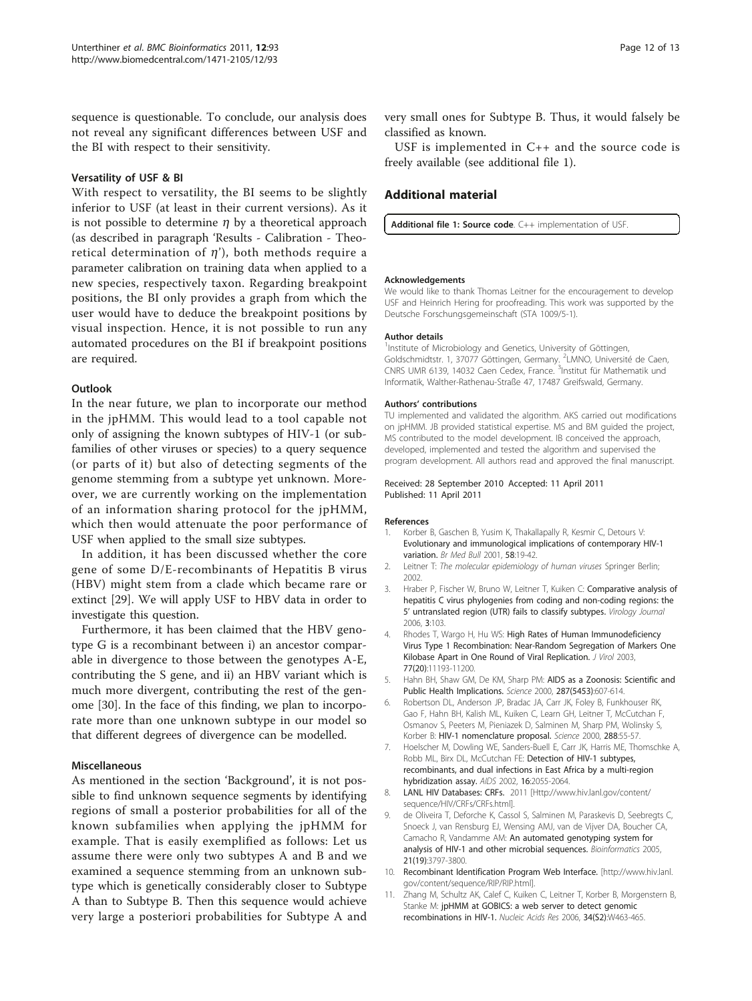<span id="page-11-0"></span>sequence is questionable. To conclude, our analysis does not reveal any significant differences between USF and the BI with respect to their sensitivity.

#### Versatility of USF & BI

With respect to versatility, the BI seems to be slightly inferior to USF (at least in their current versions). As it is not possible to determine  $\eta$  by a theoretical approach (as described in paragraph 'Results - Calibration - Theoretical determination of  $\eta'$ ), both methods require a parameter calibration on training data when applied to a new species, respectively taxon. Regarding breakpoint positions, the BI only provides a graph from which the user would have to deduce the breakpoint positions by visual inspection. Hence, it is not possible to run any automated procedures on the BI if breakpoint positions are required.

#### **Outlook**

In the near future, we plan to incorporate our method in the jpHMM. This would lead to a tool capable not only of assigning the known subtypes of HIV-1 (or subfamilies of other viruses or species) to a query sequence (or parts of it) but also of detecting segments of the genome stemming from a subtype yet unknown. Moreover, we are currently working on the implementation of an information sharing protocol for the jpHMM, which then would attenuate the poor performance of USF when applied to the small size subtypes.

In addition, it has been discussed whether the core gene of some D/E-recombinants of Hepatitis B virus (HBV) might stem from a clade which became rare or extinct [\[29\]](#page-12-0). We will apply USF to HBV data in order to investigate this question.

Furthermore, it has been claimed that the HBV genotype G is a recombinant between i) an ancestor comparable in divergence to those between the genotypes A-E, contributing the S gene, and ii) an HBV variant which is much more divergent, contributing the rest of the genome [[30](#page-12-0)]. In the face of this finding, we plan to incorporate more than one unknown subtype in our model so that different degrees of divergence can be modelled.

#### Miscellaneous

As mentioned in the section 'Background', it is not possible to find unknown sequence segments by identifying regions of small a posterior probabilities for all of the known subfamilies when applying the jpHMM for example. That is easily exemplified as follows: Let us assume there were only two subtypes A and B and we examined a sequence stemming from an unknown subtype which is genetically considerably closer to Subtype A than to Subtype B. Then this sequence would achieve very large a posteriori probabilities for Subtype A and

very small ones for Subtype B. Thus, it would falsely be classified as known.

USF is implemented in C++ and the source code is freely available (see additional file 1).

# Additional material

[Additional file 1: S](http://www.biomedcentral.com/content/supplementary/1471-2105-12-93-S1.ZIP)ource code. C++ implementation of USF.

#### Acknowledgements

We would like to thank Thomas Leitner for the encouragement to develop USF and Heinrich Hering for proofreading. This work was supported by the Deutsche Forschungsgemeinschaft (STA 1009/5-1).

#### Author details

<sup>1</sup>Institute of Microbiology and Genetics, University of Göttingen, Goldschmidtstr. 1, 37077 Göttingen, Germany. <sup>2</sup>LMNO, Université de Caen, CNRS UMR 6139, 14032 Caen Cedex, France. <sup>3</sup>Institut für Mathematik und Informatik, Walther-Rathenau-Straße 47, 17487 Greifswald, Germany.

#### Authors' contributions

TU implemented and validated the algorithm. AKS carried out modifications on jpHMM. JB provided statistical expertise. MS and BM guided the project, MS contributed to the model development. IB conceived the approach, developed, implemented and tested the algorithm and supervised the program development. All authors read and approved the final manuscript.

#### Received: 28 September 2010 Accepted: 11 April 2011 Published: 11 April 2011

#### References

- Korber B, Gaschen B, Yusim K, Thakallapally R, Kesmir C, Detours V: [Evolutionary and immunological implications of contemporary HIV-1](http://www.ncbi.nlm.nih.gov/pubmed/11714622?dopt=Abstract) [variation.](http://www.ncbi.nlm.nih.gov/pubmed/11714622?dopt=Abstract) Br Med Bull 2001, 58:19-42.
- 2. Leitner T: The molecular epidemiology of human viruses Springer Berlin; 2002.
- 3. Hraber P, Fischer W, Bruno W, Leitner T, Kuiken C: [Comparative analysis of](http://www.ncbi.nlm.nih.gov/pubmed/17169155?dopt=Abstract) [hepatitis C virus phylogenies from coding and non-coding regions: the](http://www.ncbi.nlm.nih.gov/pubmed/17169155?dopt=Abstract) 5' [untranslated region \(UTR\) fails to classify subtypes.](http://www.ncbi.nlm.nih.gov/pubmed/17169155?dopt=Abstract) Virology Journal 2006, 3:103.
- 4. Rhodes T, Wargo H, Hu WS: [High Rates of Human Immunodeficiency](http://www.ncbi.nlm.nih.gov/pubmed/14512567?dopt=Abstract) [Virus Type 1 Recombination: Near-Random Segregation of Markers One](http://www.ncbi.nlm.nih.gov/pubmed/14512567?dopt=Abstract) [Kilobase Apart in One Round of Viral Replication.](http://www.ncbi.nlm.nih.gov/pubmed/14512567?dopt=Abstract) J Virol 2003, 77(20):11193-11200.
- 5. Hahn BH, Shaw GM, De KM, Sharp PM: [AIDS as a Zoonosis: Scientific and](http://www.ncbi.nlm.nih.gov/pubmed/10649986?dopt=Abstract) [Public Health Implications.](http://www.ncbi.nlm.nih.gov/pubmed/10649986?dopt=Abstract) Science 2000, 287(5453):607-614.
- 6. Robertson DL, Anderson JP, Bradac JA, Carr JK, Foley B, Funkhouser RK, Gao F, Hahn BH, Kalish ML, Kuiken C, Learn GH, Leitner T, McCutchan F, Osmanov S, Peeters M, Pieniazek D, Salminen M, Sharp PM, Wolinsky S, Korber B: [HIV-1 nomenclature proposal.](http://www.ncbi.nlm.nih.gov/pubmed/10766634?dopt=Abstract) Science 2000, 288:55-57.
- 7. Hoelscher M, Dowling WE, Sanders-Buell E, Carr JK, Harris ME, Thomschke A, Robb ML, Birx DL, McCutchan FE: [Detection of HIV-1 subtypes,](http://www.ncbi.nlm.nih.gov/pubmed/12370505?dopt=Abstract) [recombinants, and dual infections in East Africa by a multi-region](http://www.ncbi.nlm.nih.gov/pubmed/12370505?dopt=Abstract) [hybridization assay.](http://www.ncbi.nlm.nih.gov/pubmed/12370505?dopt=Abstract) AIDS 2002, 16:2055-2064.
- 8. LANL HIV Databases: CRFs. 2011 [\[Http://www.hiv.lanl.gov/content/](Http://www.hiv.lanl.gov/content/sequence/HIV/CRFs/CRFs.html) [sequence/HIV/CRFs/CRFs.html\]](Http://www.hiv.lanl.gov/content/sequence/HIV/CRFs/CRFs.html).
- 9. de Oliveira T, Deforche K, Cassol S, Salminen M, Paraskevis D, Seebregts C, Snoeck J, van Rensburg EJ, Wensing AMJ, van de Vijver DA, Boucher CA, Camacho R, Vandamme AM: [An automated genotyping system for](http://www.ncbi.nlm.nih.gov/pubmed/16076886?dopt=Abstract) [analysis of HIV-1 and other microbial sequences.](http://www.ncbi.nlm.nih.gov/pubmed/16076886?dopt=Abstract) Bioinformatics 2005, 21(19):3797-3800.
- 10. Recombinant Identification Program Web Interface. [[http://www.hiv.lanl.](http://www.hiv.lanl.gov/content/sequence/RIP/RIP.html) [gov/content/sequence/RIP/RIP.html\]](http://www.hiv.lanl.gov/content/sequence/RIP/RIP.html).
- 11. Zhang M, Schultz AK, Calef C, Kuiken C, Leitner T, Korber B, Morgenstern B, Stanke M: [jpHMM at GOBICS: a web server to detect genomic](http://www.ncbi.nlm.nih.gov/pubmed/16845050?dopt=Abstract) [recombinations in HIV-1.](http://www.ncbi.nlm.nih.gov/pubmed/16845050?dopt=Abstract) Nucleic Acids Res 2006, 34(S2):W463-465.